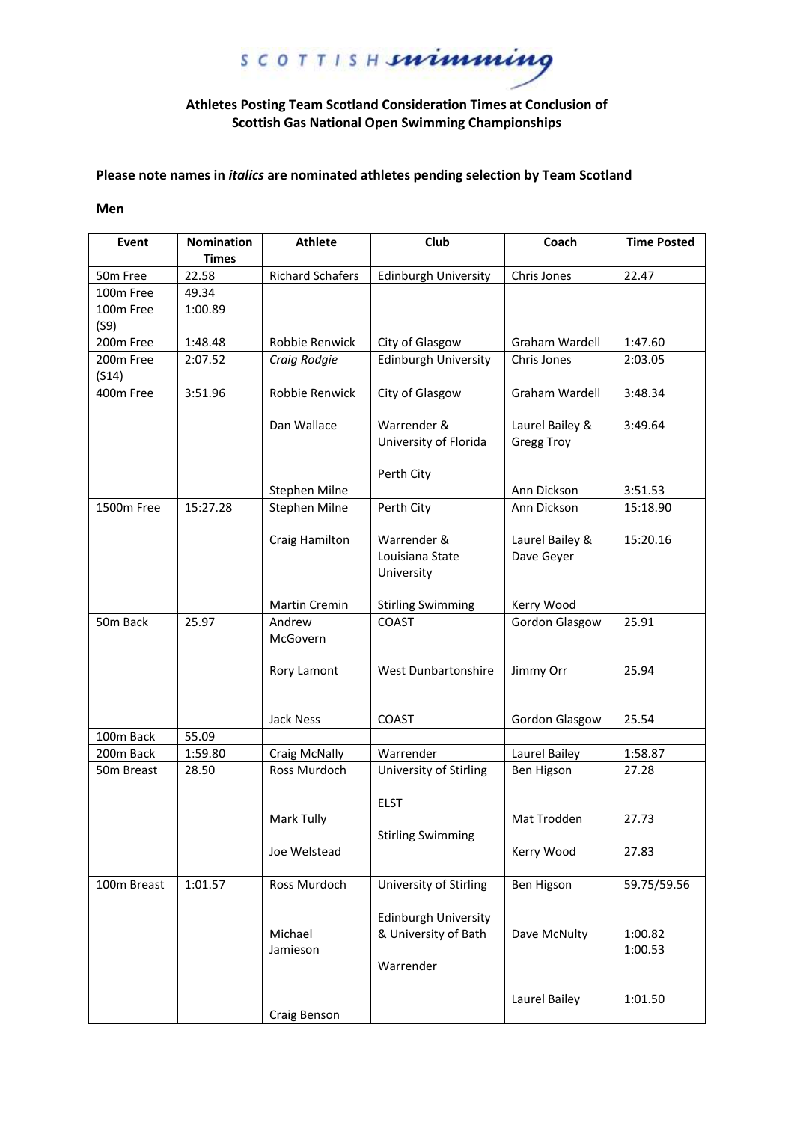SCOTTISH**swimming** 

### **Athletes Posting Team Scotland Consideration Times at Conclusion of Scottish Gas National Open Swimming Championships**

**Please note names in** *italics* **are nominated athletes pending selection by Team Scotland**

#### **Men**

| Event              | <b>Nomination</b><br><b>Times</b> | <b>Athlete</b>          | Club                                                             | Coach                                | <b>Time Posted</b> |
|--------------------|-----------------------------------|-------------------------|------------------------------------------------------------------|--------------------------------------|--------------------|
| 50m Free           | 22.58                             | <b>Richard Schafers</b> | <b>Edinburgh University</b>                                      | Chris Jones                          | 22.47              |
| 100m Free          | 49.34                             |                         |                                                                  |                                      |                    |
| 100m Free<br>(S9)  | 1:00.89                           |                         |                                                                  |                                      |                    |
| 200m Free          | 1:48.48                           | Robbie Renwick          | City of Glasgow                                                  | Graham Wardell                       | 1:47.60            |
| 200m Free<br>(S14) | 2:07.52                           | Craig Rodgie            | <b>Edinburgh University</b>                                      | Chris Jones                          | 2:03.05            |
| 400m Free          | 3:51.96                           | Robbie Renwick          | City of Glasgow                                                  | Graham Wardell                       | 3:48.34            |
|                    |                                   | Dan Wallace             | Warrender &<br>University of Florida                             | Laurel Bailey &<br><b>Gregg Troy</b> | 3:49.64            |
|                    |                                   | <b>Stephen Milne</b>    | Perth City                                                       | Ann Dickson                          | 3:51.53            |
| 1500m Free         | 15:27.28                          | Stephen Milne           | Perth City                                                       | Ann Dickson                          | 15:18.90           |
|                    |                                   | Craig Hamilton          | Warrender &<br>Louisiana State<br>University                     | Laurel Bailey &<br>Dave Geyer        | 15:20.16           |
|                    |                                   | Martin Cremin           | <b>Stirling Swimming</b>                                         | Kerry Wood                           |                    |
| 50m Back           | 25.97                             | Andrew<br>McGovern      | COAST                                                            | <b>Gordon Glasgow</b>                | 25.91              |
|                    |                                   | Rory Lamont             | West Dunbartonshire                                              | Jimmy Orr                            | 25.94              |
|                    |                                   | Jack Ness               | <b>COAST</b>                                                     | Gordon Glasgow                       | 25.54              |
| 100m Back          | 55.09                             |                         |                                                                  |                                      |                    |
| 200m Back          | 1:59.80                           | Craig McNally           | Warrender                                                        | Laurel Bailey                        | 1:58.87            |
| 50m Breast         | 28.50                             | Ross Murdoch            | University of Stirling                                           | Ben Higson                           | 27.28              |
|                    |                                   | Mark Tully              | <b>ELST</b><br><b>Stirling Swimming</b>                          | Mat Trodden                          | 27.73              |
|                    |                                   | Joe Welstead            |                                                                  | Kerry Wood                           | 27.83              |
| 100m Breast        | 1:01.57                           | Ross Murdoch            | University of Stirling                                           | Ben Higson                           | 59.75/59.56        |
|                    |                                   | Michael<br>Jamieson     | <b>Edinburgh University</b><br>& University of Bath<br>Warrender | Dave McNulty                         | 1:00.82<br>1:00.53 |
|                    |                                   | Craig Benson            |                                                                  | Laurel Bailey                        | 1:01.50            |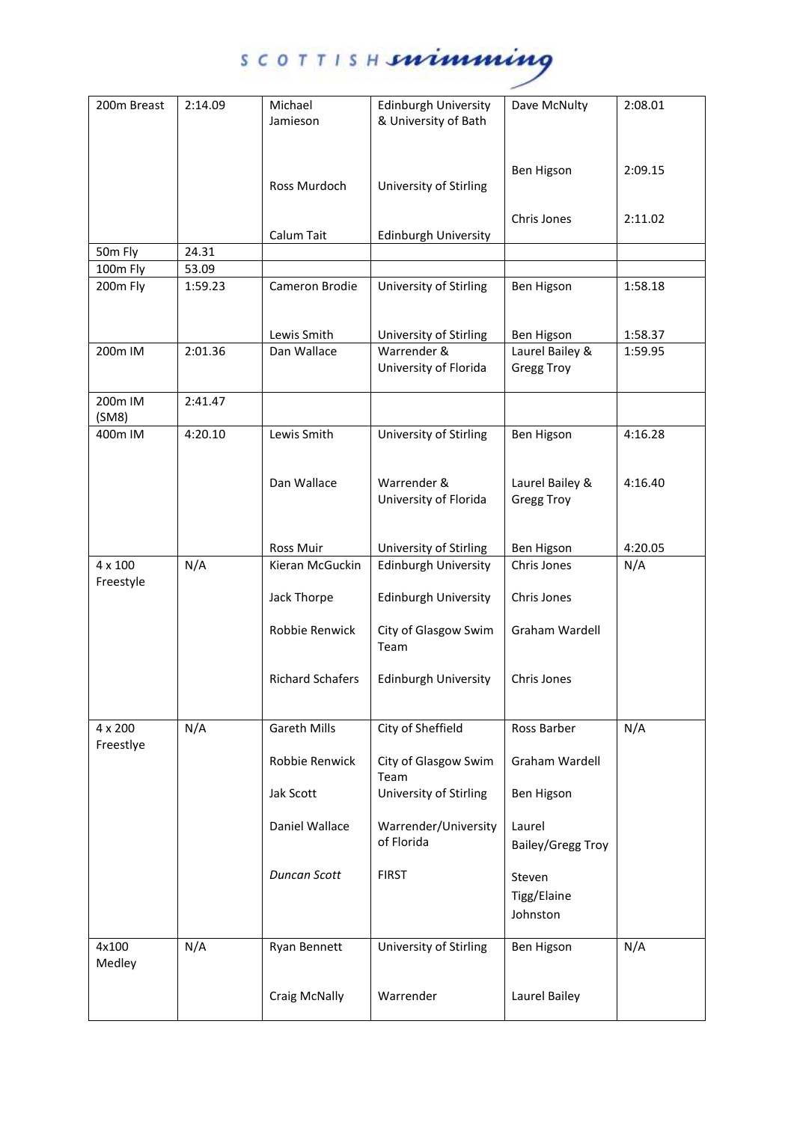# SCOTTISH**suimming**

| 200m Breast          | 2:14.09 | Michael<br>Jamieson     | Edinburgh University<br>& University of Bath | Dave McNulty                         | 2:08.01 |
|----------------------|---------|-------------------------|----------------------------------------------|--------------------------------------|---------|
|                      |         | Ross Murdoch            | University of Stirling                       | Ben Higson                           | 2:09.15 |
|                      |         | Calum Tait              | <b>Edinburgh University</b>                  | Chris Jones                          | 2:11.02 |
| 50m Fly              | 24.31   |                         |                                              |                                      |         |
| 100m Fly             | 53.09   |                         |                                              |                                      |         |
| 200m Fly             | 1:59.23 | Cameron Brodie          | University of Stirling                       | Ben Higson                           | 1:58.18 |
|                      |         | Lewis Smith             | University of Stirling                       | Ben Higson                           | 1:58.37 |
| 200 <sub>m</sub> IM  | 2:01.36 | Dan Wallace             | Warrender &<br>University of Florida         | Laurel Bailey &<br><b>Gregg Troy</b> | 1:59.95 |
| 200m IM<br>(SM8)     | 2:41.47 |                         |                                              |                                      |         |
| 400m IM              | 4:20.10 | Lewis Smith             | University of Stirling                       | Ben Higson                           | 4:16.28 |
|                      |         | Dan Wallace             | Warrender &<br>University of Florida         | Laurel Bailey &<br><b>Gregg Troy</b> | 4:16.40 |
|                      |         | Ross Muir               | University of Stirling                       | Ben Higson                           | 4:20.05 |
| 4 x 100              | N/A     | Kieran McGuckin         | Edinburgh University                         | Chris Jones                          | N/A     |
| Freestyle            |         | Jack Thorpe             | Edinburgh University                         | Chris Jones                          |         |
|                      |         | Robbie Renwick          | City of Glasgow Swim<br>Team                 | Graham Wardell                       |         |
|                      |         | <b>Richard Schafers</b> | <b>Edinburgh University</b>                  | Chris Jones                          |         |
| 4 x 200<br>Freestlye | N/A     | <b>Gareth Mills</b>     | City of Sheffield                            | Ross Barber                          | N/A     |
|                      |         | Robbie Renwick          | City of Glasgow Swim<br>Team                 | Graham Wardell                       |         |
|                      |         | Jak Scott               | University of Stirling                       | Ben Higson                           |         |
|                      |         | Daniel Wallace          | Warrender/University<br>of Florida           | Laurel<br><b>Bailey/Gregg Troy</b>   |         |
|                      |         | <b>Duncan Scott</b>     | <b>FIRST</b>                                 | Steven<br>Tigg/Elaine<br>Johnston    |         |
| 4x100<br>Medley      | N/A     | Ryan Bennett            | University of Stirling                       | Ben Higson                           | N/A     |
|                      |         | <b>Craig McNally</b>    | Warrender                                    | Laurel Bailey                        |         |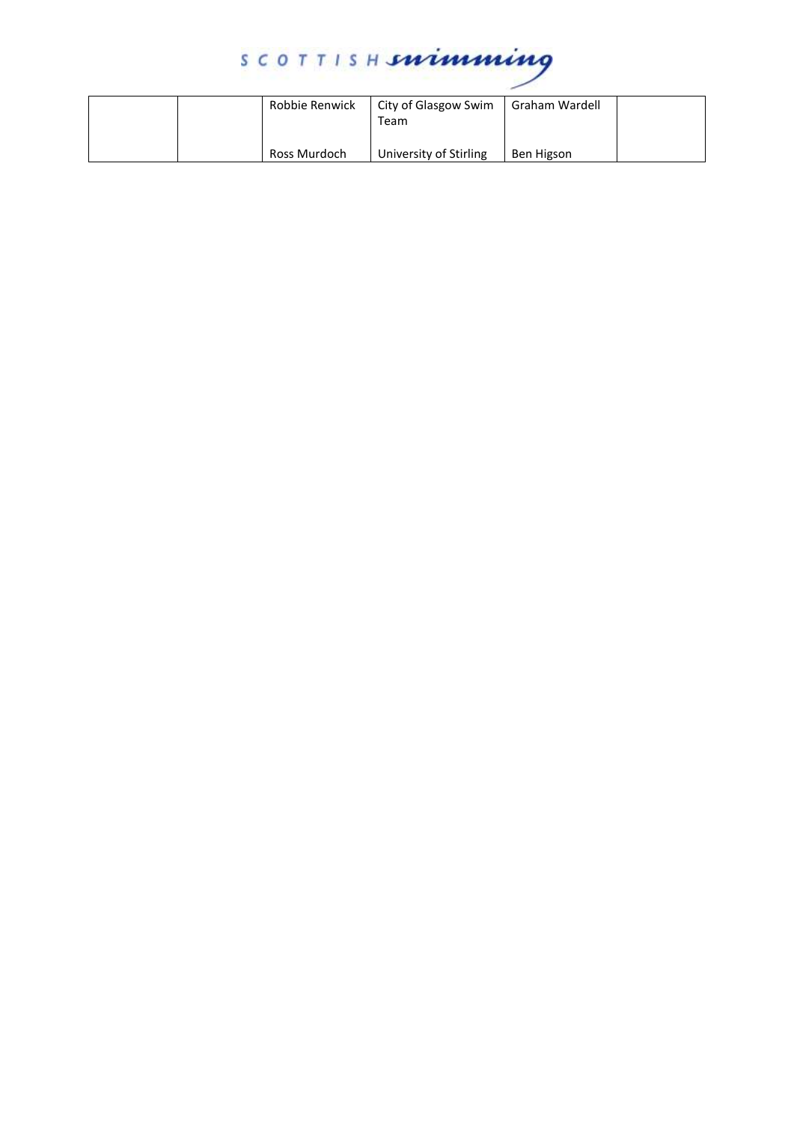# SCOTTISH**suimming**

| Robbie Renwick | City of Glasgow Swim<br>Team | Graham Wardell |
|----------------|------------------------------|----------------|
| Ross Murdoch   | University of Stirling       | Ben Higson     |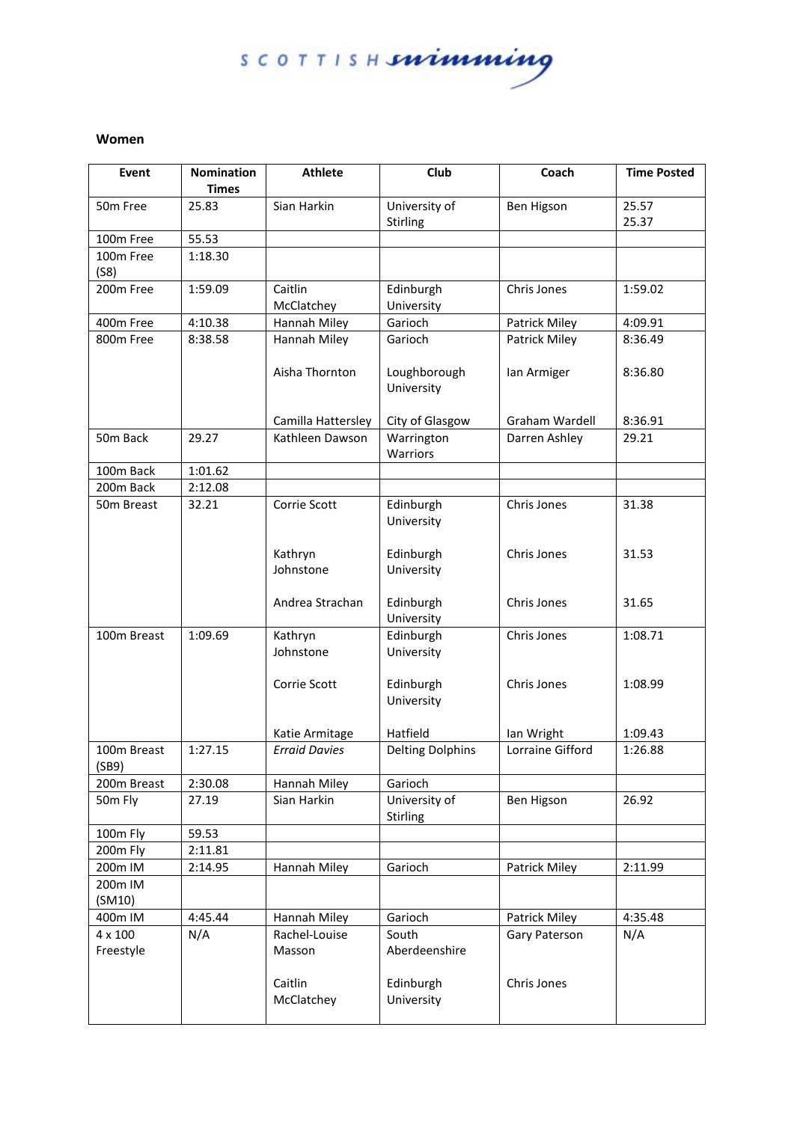

### **Women**

| Event                | <b>Nomination</b><br><b>Times</b> | <b>Athlete</b>          | Club                       | Coach            | <b>Time Posted</b> |
|----------------------|-----------------------------------|-------------------------|----------------------------|------------------|--------------------|
| 50m Free             | 25.83                             | Sian Harkin             | University of              | Ben Higson       | 25.57              |
|                      |                                   |                         | Stirling                   |                  | 25.37              |
| 100m Free            | 55.53                             |                         |                            |                  |                    |
| 100m Free<br>(S8)    | 1:18.30                           |                         |                            |                  |                    |
| 200m Free            | 1:59.09                           | Caitlin<br>McClatchey   | Edinburgh<br>University    | Chris Jones      | 1:59.02            |
| 400m Free            | 4:10.38                           | Hannah Miley            | Garioch                    | Patrick Miley    | 4:09.91            |
| 800m Free            | 8:38.58                           | Hannah Miley            | Garioch                    | Patrick Miley    | 8:36.49            |
|                      |                                   | Aisha Thornton          | Loughborough<br>University | lan Armiger      | 8:36.80            |
|                      |                                   | Camilla Hattersley      | City of Glasgow            | Graham Wardell   | 8:36.91            |
| 50m Back             | 29.27                             | Kathleen Dawson         | Warrington<br>Warriors     | Darren Ashley    | 29.21              |
| 100m Back            | 1:01.62                           |                         |                            |                  |                    |
| 200m Back            | 2:12.08                           |                         |                            |                  |                    |
| 50m Breast           | 32.21                             | Corrie Scott            | Edinburgh<br>University    | Chris Jones      | 31.38              |
|                      |                                   | Kathryn                 | Edinburgh                  | Chris Jones      | 31.53              |
|                      |                                   | Johnstone               | University                 |                  |                    |
|                      |                                   | Andrea Strachan         | Edinburgh<br>University    | Chris Jones      | 31.65              |
| 100m Breast          | 1:09.69                           | Kathryn<br>Johnstone    | Edinburgh<br>University    | Chris Jones      | 1:08.71            |
|                      |                                   | Corrie Scott            | Edinburgh<br>University    | Chris Jones      | 1:08.99            |
|                      |                                   | Katie Armitage          | Hatfield                   | Ian Wright       | 1:09.43            |
| 100m Breast<br>(SB9) | 1:27.15                           | <b>Erraid Davies</b>    | <b>Delting Dolphins</b>    | Lorraine Gifford | 1:26.88            |
| 200m Breast          | 2:30.08                           | Hannah Miley            | Garioch                    |                  |                    |
| 50m Fly              | 27.19                             | Sian Harkin             | University of<br>Stirling  | Ben Higson       | 26.92              |
| 100m Fly             | 59.53                             |                         |                            |                  |                    |
| 200m Fly             | 2:11.81                           |                         |                            |                  |                    |
| 200m IM              | 2:14.95                           | Hannah Miley            | Garioch                    | Patrick Miley    | 2:11.99            |
| 200m IM<br>(SM10)    |                                   |                         |                            |                  |                    |
| 400m IM              | 4:45.44                           | Hannah Miley            | Garioch                    | Patrick Miley    | 4:35.48            |
| 4 x 100<br>Freestyle | N/A                               | Rachel-Louise<br>Masson | South<br>Aberdeenshire     | Gary Paterson    | N/A                |
|                      |                                   | Caitlin<br>McClatchey   | Edinburgh<br>University    | Chris Jones      |                    |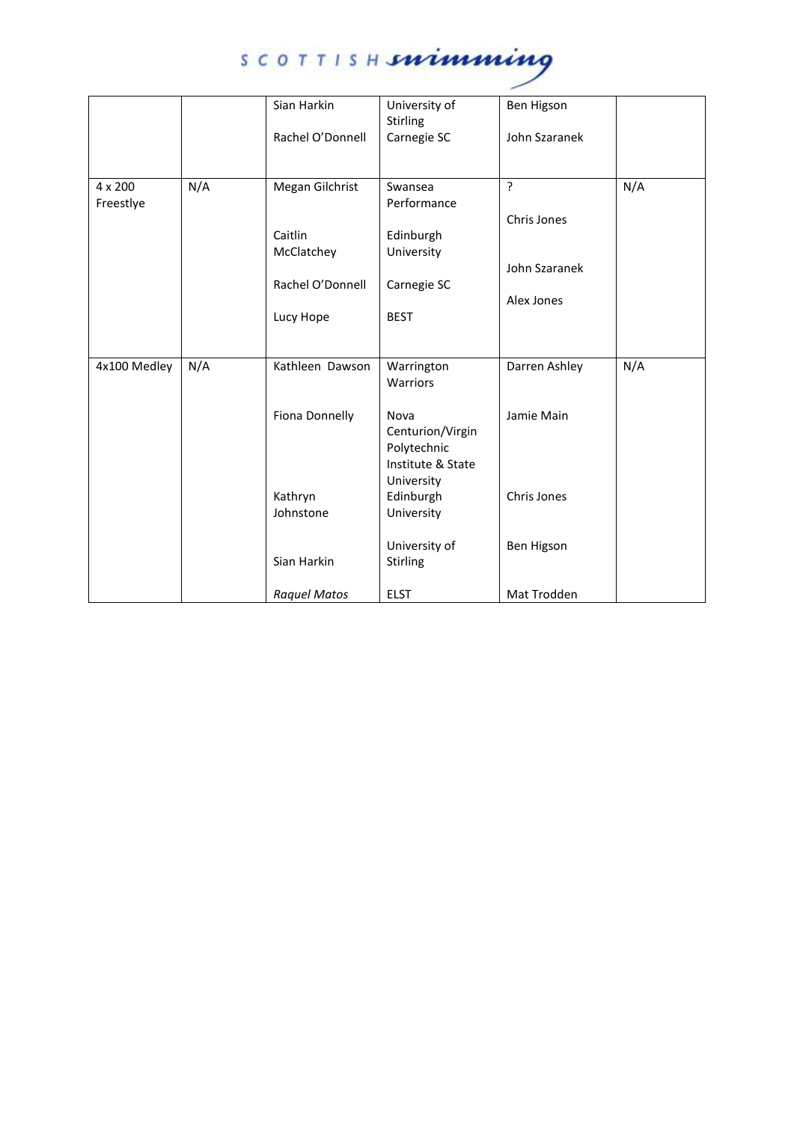## SCOTTISH**suimming**

|                      |     | Sian Harkin           | University of<br>Stirling                                                  | Ben Higson                    |     |
|----------------------|-----|-----------------------|----------------------------------------------------------------------------|-------------------------------|-----|
|                      |     | Rachel O'Donnell      | Carnegie SC                                                                | John Szaranek                 |     |
| 4 x 200<br>Freestlye | N/A | Megan Gilchrist       | Swansea<br>Performance                                                     | $\overline{?}$<br>Chris Jones | N/A |
|                      |     | Caitlin<br>McClatchey | Edinburgh<br>University                                                    |                               |     |
|                      |     | Rachel O'Donnell      | Carnegie SC                                                                | John Szaranek                 |     |
|                      |     | Lucy Hope             | <b>BEST</b>                                                                | Alex Jones                    |     |
|                      |     |                       |                                                                            |                               |     |
| 4x100 Medley         | N/A | Kathleen Dawson       | Warrington<br>Warriors                                                     | Darren Ashley                 | N/A |
|                      |     | Fiona Donnelly        | Nova<br>Centurion/Virgin<br>Polytechnic<br>Institute & State<br>University | Jamie Main                    |     |
|                      |     | Kathryn<br>Johnstone  | Edinburgh<br>University                                                    | Chris Jones                   |     |
|                      |     | Sian Harkin           | University of<br>Stirling                                                  | Ben Higson                    |     |
|                      |     | <b>Raquel Matos</b>   | <b>ELST</b>                                                                | Mat Trodden                   |     |